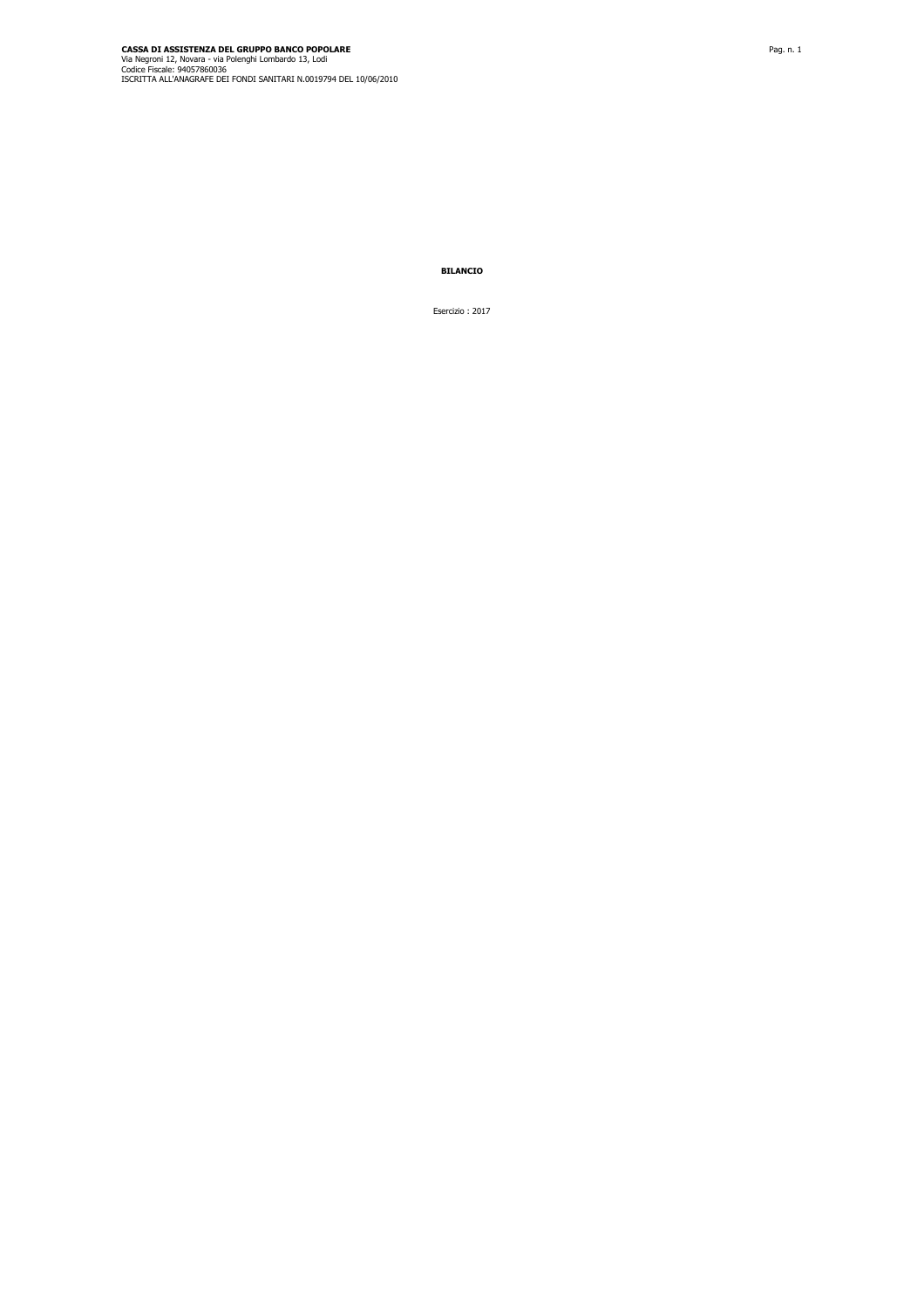**BILANCIO**

Esercizio : 2017